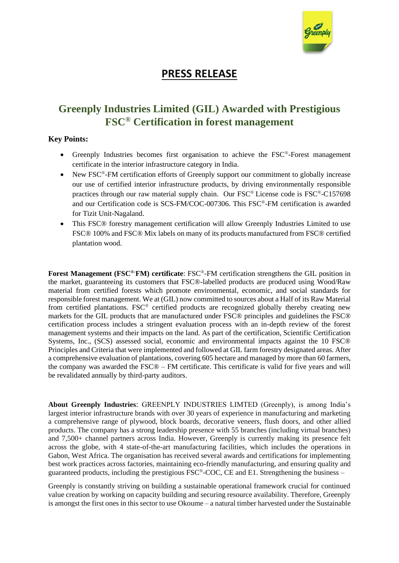

## **PRESS RELEASE**

## **Greenply Industries Limited (GIL) Awarded with Prestigious FSC® Certification in forest management**

## **Key Points:**

- Greenply Industries becomes first organisation to achieve the FSC®-Forest management certificate in the interior infrastructure category in India.
- New FSC<sup>®</sup>-FM certification efforts of Greenply support our commitment to globally increase our use of certified interior infrastructure products, by driving environmentally responsible practices through our raw material supply chain. Our FSC® License code is FSC®-C157698 and our Certification code is SCS-FM/COC-007306. This FSC®-FM certification is awarded for Tizit Unit-Nagaland.
- This FSC<sup>®</sup> forestry management certification will allow Greenply Industries Limited to use FSC® 100% and FSC® Mix labels on many of its products manufactured from FSC® certified plantation wood.

**Forest Management (FSC®-FM) certificate**: FSC®-FM certification strengthens the GIL position in the market, guaranteeing its customers that FSC®-labelled products are produced using Wood/Raw material from certified forests which promote environmental, economic, and social standards for responsible forest management. We at (GIL) now committed to sources about a Half of its Raw Material from certified plantations. FSC® certified products are recognized globally thereby creating new markets for the GIL products that are manufactured under FSC® principles and guidelines the FSC® certification process includes a stringent evaluation process with an in-depth review of the forest management systems and their impacts on the land. As part of the certification, Scientific Certification Systems, Inc., (SCS) assessed social, economic and environmental impacts against the 10 FSC® Principles and Criteria that were implemented and followed at GIL farm forestry designated areas. After a comprehensive evaluation of plantations, covering 605 hectare and managed by more than 60 farmers, the company was awarded the FSC® – FM certificate. This certificate is valid for five years and will be revalidated annually by third-party auditors.

**About Greenply Industries**: GREENPLY INDUSTRIES LIMTED (Greenply), is among India's largest interior infrastructure brands with over 30 years of experience in manufacturing and marketing a comprehensive range of plywood, block boards, decorative veneers, flush doors, and other allied products. The company has a strong leadership presence with 55 branches (including virtual branches) and 7,500+ channel partners across India. However, Greenply is currently making its presence felt across the globe, with 4 state-of-the-art manufacturing facilities, which includes the operations in Gabon, West Africa. The organisation has received several awards and certifications for implementing best work practices across factories, maintaining eco-friendly manufacturing, and ensuring quality and guaranteed products, including the prestigious FSC®-COC, CE and E1. Strengthening the business –

Greenply is constantly striving on building a sustainable operational framework crucial for continued value creation by working on capacity building and securing resource availability. Therefore, Greenply is amongst the first ones in this sector to use Okoume – a natural timber harvested under the Sustainable